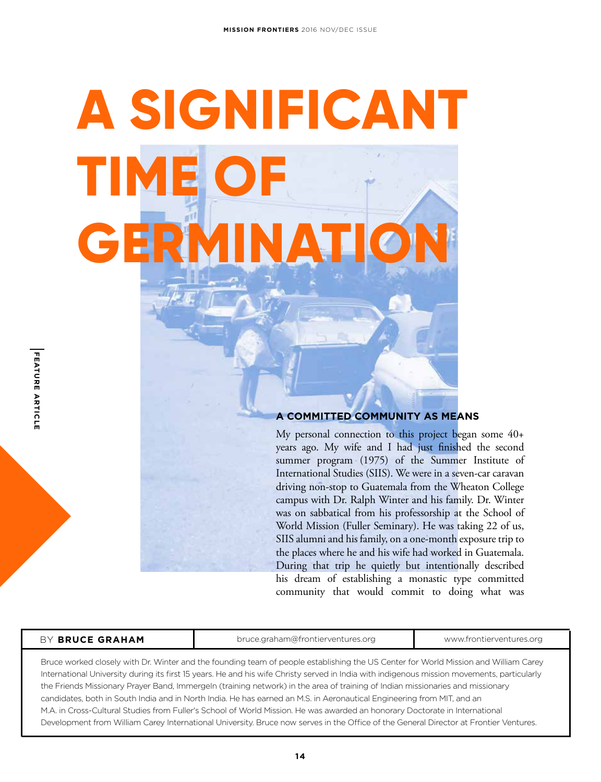# **A SIGNIFICANT TIME OF GERMINATI**

#### **A COMMITTED COMMUNITY AS MEANS**

My personal connection to this project began some 40+ years ago. My wife and I had just finished the second summer program (1975) of the Summer Institute of International Studies (SIIS). We were in a seven-car caravan driving non-stop to Guatemala from the Wheaton College campus with Dr. Ralph Winter and his family. Dr. Winter was on sabbatical from his professorship at the School of World Mission (Fuller Seminary). He was taking 22 of us, SIIS alumni and his family, on a one-month exposure trip to the places where he and his wife had worked in Guatemala. During that trip he quietly but intentionally described his dream of establishing a monastic type committed community that would commit to doing what was

| BY BRUCE GRAHAM                                                                                                                                                                                                                                                                    | bruce.graham@frontierventures.org | www.frontierventures.org |
|------------------------------------------------------------------------------------------------------------------------------------------------------------------------------------------------------------------------------------------------------------------------------------|-----------------------------------|--------------------------|
| Bruce worked closely with Dr. Winter and the founding team of people establishing the US Center for World Mission and William Carey<br>International University during its first 15 years. He and his wife Christy served in India with indigenous mission movements, particularly |                                   |                          |
| the Friends Missionary Prayer Band, Immergeln (training network) in the area of training of Indian missionaries and missionary                                                                                                                                                     |                                   |                          |
| candidates, both in South India and in North India. He has earned an M.S. in Aeronautical Engineering from MIT, and an                                                                                                                                                             |                                   |                          |

M.A. in Cross-Cultural Studies from Fuller's School of World Mission. He was awarded an honorary Doctorate in International Development from William Carey International University. Bruce now serves in the Office of the General Director at Frontier Ventures.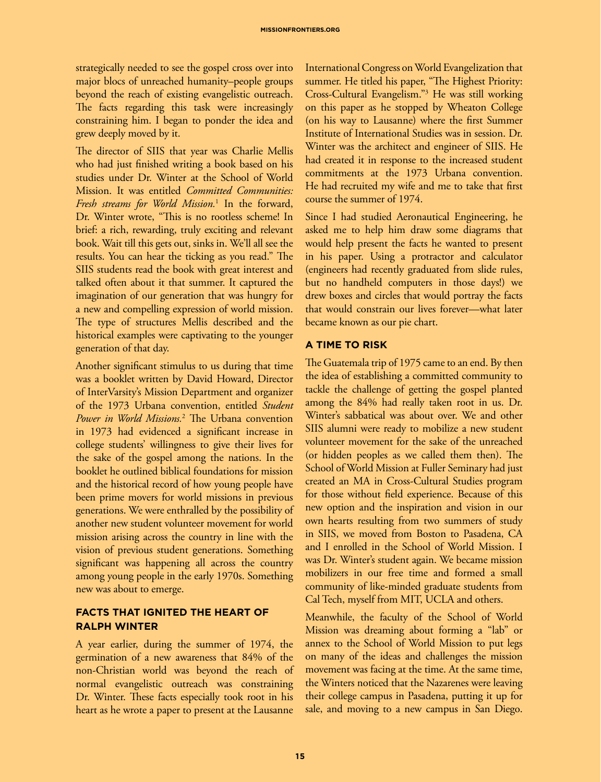strategically needed to see the gospel cross over into major blocs of unreached humanity–people groups beyond the reach of existing evangelistic outreach. The facts regarding this task were increasingly constraining him. I began to ponder the idea and grew deeply moved by it.

The director of SIIS that year was Charlie Mellis who had just finished writing a book based on his studies under Dr. Winter at the School of World Mission. It was entitled *Committed Communities: Fresh streams for World Mission.*<sup>1</sup> In the forward, Dr. Winter wrote, "This is no rootless scheme! In brief: a rich, rewarding, truly exciting and relevant book. Wait till this gets out, sinks in. We'll all see the results. You can hear the ticking as you read." The SIIS students read the book with great interest and talked often about it that summer. It captured the imagination of our generation that was hungry for a new and compelling expression of world mission. The type of structures Mellis described and the historical examples were captivating to the younger generation of that day.

Another significant stimulus to us during that time was a booklet written by David Howard, Director of InterVarsity's Mission Department and organizer of the 1973 Urbana convention, entitled *Student Power in World Missions.*<sup>2</sup> The Urbana convention in 1973 had evidenced a significant increase in college students' willingness to give their lives for the sake of the gospel among the nations. In the booklet he outlined biblical foundations for mission and the historical record of how young people have been prime movers for world missions in previous generations. We were enthralled by the possibility of another new student volunteer movement for world mission arising across the country in line with the vision of previous student generations. Something significant was happening all across the country among young people in the early 1970s. Something new was about to emerge.

### **FACTS THAT IGNITED THE HEART OF RALPH WINTER**

A year earlier, during the summer of 1974, the germination of a new awareness that 84% of the non-Christian world was beyond the reach of normal evangelistic outreach was constraining Dr. Winter. These facts especially took root in his heart as he wrote a paper to present at the Lausanne

International Congress on World Evangelization that summer. He titled his paper, "The Highest Priority: Cross-Cultural Evangelism."3 He was still working on this paper as he stopped by Wheaton College (on his way to Lausanne) where the first Summer Institute of International Studies was in session. Dr. Winter was the architect and engineer of SIIS. He had created it in response to the increased student commitments at the 1973 Urbana convention. He had recruited my wife and me to take that first course the summer of 1974.

Since I had studied Aeronautical Engineering, he asked me to help him draw some diagrams that would help present the facts he wanted to present in his paper. Using a protractor and calculator (engineers had recently graduated from slide rules, but no handheld computers in those days!) we drew boxes and circles that would portray the facts that would constrain our lives forever—what later became known as our pie chart.

#### **A TIME TO RISK**

The Guatemala trip of 1975 came to an end. By then the idea of establishing a committed community to tackle the challenge of getting the gospel planted among the 84% had really taken root in us. Dr. Winter's sabbatical was about over. We and other SIIS alumni were ready to mobilize a new student volunteer movement for the sake of the unreached (or hidden peoples as we called them then). The School of World Mission at Fuller Seminary had just created an MA in Cross-Cultural Studies program for those without field experience. Because of this new option and the inspiration and vision in our own hearts resulting from two summers of study in SIIS, we moved from Boston to Pasadena, CA and I enrolled in the School of World Mission. I was Dr. Winter's student again. We became mission mobilizers in our free time and formed a small community of like-minded graduate students from Cal Tech, myself from MIT, UCLA and others.

Meanwhile, the faculty of the School of World Mission was dreaming about forming a "lab" or annex to the School of World Mission to put legs on many of the ideas and challenges the mission movement was facing at the time. At the same time, the Winters noticed that the Nazarenes were leaving their college campus in Pasadena, putting it up for sale, and moving to a new campus in San Diego.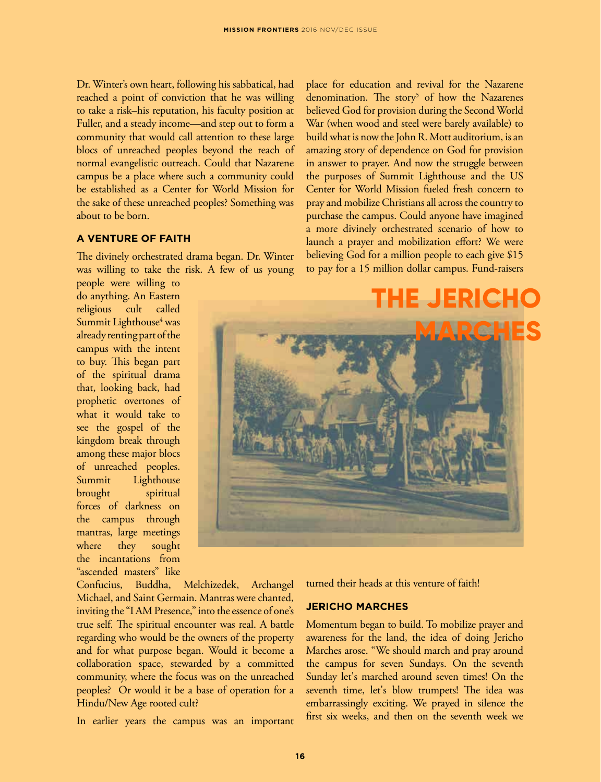Dr. Winter's own heart, following his sabbatical, had reached a point of conviction that he was willing to take a risk–his reputation, his faculty position at Fuller, and a steady income—and step out to form a community that would call attention to these large blocs of unreached peoples beyond the reach of normal evangelistic outreach. Could that Nazarene campus be a place where such a community could be established as a Center for World Mission for the sake of these unreached peoples? Something was about to be born.

#### **A VENTURE OF FAITH**

The divinely orchestrated drama began. Dr. Winter was willing to take the risk. A few of us young

people were willing to do anything. An Eastern religious cult called Summit Lighthouse<sup>4</sup> was already renting part of the campus with the intent to buy. This began part of the spiritual drama that, looking back, had prophetic overtones of what it would take to see the gospel of the kingdom break through among these major blocs of unreached peoples. Summit Lighthouse brought spiritual forces of darkness on the campus through mantras, large meetings where they sought the incantations from "ascended masters" like

Confucius, Buddha, Melchizedek, Archangel Michael, and Saint Germain. Mantras were chanted, inviting the "I AM Presence," into the essence of one's true self. The spiritual encounter was real. A battle regarding who would be the owners of the property and for what purpose began. Would it become a collaboration space, stewarded by a committed community, where the focus was on the unreached peoples? Or would it be a base of operation for a Hindu/New Age rooted cult?

In earlier years the campus was an important

place for education and revival for the Nazarene denomination. The story<sup>5</sup> of how the Nazarenes believed God for provision during the Second World War (when wood and steel were barely available) to build what is now the John R. Mott auditorium, is an amazing story of dependence on God for provision in answer to prayer. And now the struggle between the purposes of Summit Lighthouse and the US Center for World Mission fueled fresh concern to pray and mobilize Christians all across the country to purchase the campus. Could anyone have imagined a more divinely orchestrated scenario of how to launch a prayer and mobilization effort? We were believing God for a million people to each give \$15 to pay for a 15 million dollar campus. Fund-raisers



turned their heads at this venture of faith!

#### **JERICHO MARCHES**

Momentum began to build. To mobilize prayer and awareness for the land, the idea of doing Jericho Marches arose. "We should march and pray around the campus for seven Sundays. On the seventh Sunday let's marched around seven times! On the seventh time, let's blow trumpets! The idea was embarrassingly exciting. We prayed in silence the first six weeks, and then on the seventh week we